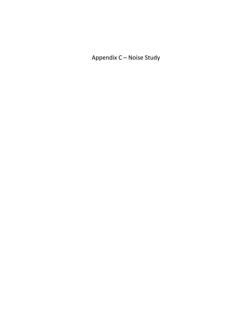Appendix C – Noise Study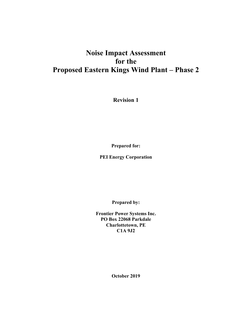# **Noise Impact Assessment for the Proposed Eastern Kings Wind Plant – Phase 2**

**Revision 1** 

**Prepared for:** 

**PEI Energy Corporation** 

**Prepared by:** 

**Frontier Power Systems Inc. PO Box 22068 Parkdale Charlottetown, PE C1A 9J2** 

**October 2019**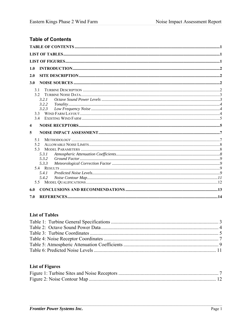## **Table of Contents**

| 1.0                     |       |  |
|-------------------------|-------|--|
| 2.0                     |       |  |
|                         |       |  |
| 3.0                     |       |  |
| 3.1                     |       |  |
| 32                      |       |  |
|                         | 3.2.1 |  |
|                         | 3.2.2 |  |
|                         | 3.2.3 |  |
|                         | 33    |  |
|                         | 3.4   |  |
| $\overline{\mathbf{4}}$ |       |  |
| 5                       |       |  |
| 5.1                     |       |  |
| 5.2                     |       |  |
|                         |       |  |
| 5.3                     |       |  |
|                         | 5.3.1 |  |
|                         | 5.3.2 |  |
|                         | 5.3.3 |  |
|                         |       |  |
|                         | 5.4.1 |  |
|                         | 5.4.2 |  |
| 5.5                     |       |  |
| 6.0                     |       |  |

### **List of Tables**

## **List of Figures**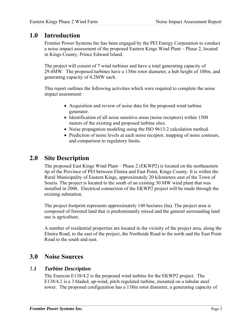## **1.0 Introduction**

Frontier Power Systems Inc has been engaged by the PEI Energy Corporation to conduct a noise impact assessment of the proposed Eastern Kings Wind Plant – Phase 2, located in Kings County, Prince Edward Island.

The project will consist of 7 wind turbines and have a total generating capacity of 29.4MW. The proposed turbines have a 138m rotor diameter, a hub height of 108m, and generating capacity of 4.2MW each.

This report outlines the following activities which were required to complete the noise impact assessment:

- Acquisition and review of noise data for the proposed wind turbine generator.
- Identification of all noise sensitive areas (noise receptors) within 1500 meters of the existing and proposed turbine sites.
- Noise propagation modeling using the ISO 9613-2 calculation method.
- Prediction of noise levels at each noise receptor, mapping of noise contours, and comparison to regulatory limits.

# **2.0 Site Description**

The proposed East Kings Wind Plant – Phase 2 (EKWP2) is located on the northeastern tip of the Province of PEI between Elmira and East Point, Kings County. It is within the Rural Municipality of Eastern Kings, approximately 20 kilometers east of the Town of Souris. The project is located to the south of an existing 30 MW wind plant that was installed in 2006. Electrical connection of the EKWP2 project will be made through the existing substation.

The project footprint represents approximately 140 hectares (ha). The project area is composed of forested land that is predominantly mixed and the general surrounding land use is agriculture.

A number of residential properties are located in the vicinity of the project area, along the Elmira Road, to the east of the project, the Northside Road to the north and the East Point Road to the south and east.

# **3.0 Noise Sources**

## 3.*1 Turbine Description*

The Enercon E138/4.2 is the proposed wind turbine for the EKWP2 project. The E138/4.2 is a 3 bladed, up-wind, pitch regulated turbine, mounted on a tubular steel tower. The proposed configuration has a 138m rotor diameter, a generating capacity of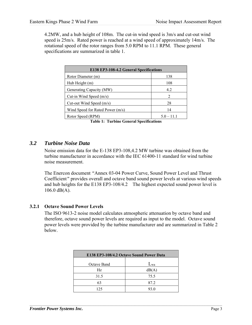4.2MW, and a hub height of 108m. The cut-in wind speed is 3m/s and cut-out wind speed is 25m/s. Rated power is reached at a wind speed of approximately 14m/s. The rotational speed of the rotor ranges from 5.0 RPM to 11.1 RPM. These general specifications are summarized in table 1.

| E138 EP3-108-4.2 General Specifications |                |  |  |  |  |  |
|-----------------------------------------|----------------|--|--|--|--|--|
| Rotor Diameter (m)                      | 138            |  |  |  |  |  |
| Hub Height (m)                          | 108            |  |  |  |  |  |
| Generating Capacity (MW)                | 4.2            |  |  |  |  |  |
| Cut-in Wind Speed $(m/s)$               | $\mathfrak{D}$ |  |  |  |  |  |
| Cut-out Wind Speed $(m/s)$              | 28             |  |  |  |  |  |
| Wind Speed for Rated Power (m/s)        | 14             |  |  |  |  |  |
| Rotor Speed (RPM)                       | $5.0 - 11.1$   |  |  |  |  |  |

**Table 1: Turbine General Specifications** 

### *3.2 Turbine Noise Data*

Noise emission data for the E-138 EP3-108,4.2 MW turbine was obtained from the turbine manufacturer in accordance with the IEC 61400-11 standard for wind turbine noise measurement.

The Enercon document *"*Annex 03-04 Power Curve, Sound Power Level and Thrust Coefficient*"* provides overall and octave band sound power levels at various wind speeds and hub heights for the E138 EP3-108/4.2 The highest expected sound power level is 106.0 dB(A).

### **3.2.1 Octave Sound Power Levels**

The ISO 9613-2 noise model calculates atmospheric attenuation by octave band and therefore, octave sound power levels are required as input to the model. Octave sound power levels were provided by the turbine manufacturer and are summarized in Table 2 below.

| E138 EP3-108/4.2 Octave Sound Power Data |          |  |  |  |  |  |  |
|------------------------------------------|----------|--|--|--|--|--|--|
| Octave Band                              | $L_{wa}$ |  |  |  |  |  |  |
| Hz.                                      | dB(A)    |  |  |  |  |  |  |
| 31.5                                     | 75.5     |  |  |  |  |  |  |
| 63                                       | 87.2     |  |  |  |  |  |  |
| 125                                      | 93.0     |  |  |  |  |  |  |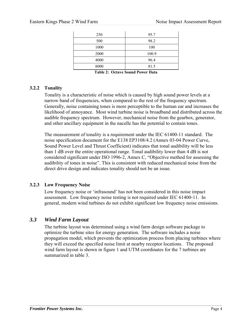| 250  | 95.7  |
|------|-------|
| 500  | 98.2  |
| 1000 | 100   |
| 2000 | 100.9 |
| 4000 | 96.4  |
| 8000 | 81.5  |
|      |       |

**Table 2: Octave Sound Power Data** 

### **3.2.2 Tonality**

Tonality is a characteristic of noise which is caused by high sound power levels at a narrow band of frequencies, when compared to the rest of the frequency spectrum. Generally, noise containing tones is more perceptible to the human ear and increases the likelihood of annoyance. Most wind turbine noise is broadband and distributed across the audible frequency spectrum. However, mechanical noise from the gearbox, generator, and other ancillary equipment in the nacelle has the potential to contain tones.

The measurement of tonality is a requirement under the IEC 61400-11 standard. The noise specification document for the E138 EP3108/4.2 (Annex 03-04 Power Curve, Sound Power Level and Thrust Coefficient) indicates that tonal audibility will be less than 1 dB over the entire operational range. Tonal audibility lower than 4 dB is not considered significant under ISO 1996-2, Annex C, "Objective method for assessing the audibility of tones in noise". This is consistent with reduced mechanical noise from the direct drive design and indicates tonality should not be an issue.

### **3.2.3 Low Frequency Noise**

Low frequency noise or 'infrasound' has not been considered in this noise impact assessment. Low frequency noise testing is not required under IEC 61400-11. In general, modern wind turbines do not exhibit significant low frequency noise emissions.

## *3.3 Wind Farm Layout*

The turbine layout was determined using a wind farm design software package to optimize the turbine sites for energy generation. The software includes a noise propagation model, which prevents the optimization process from placing turbines where they will exceed the specified noise limit at nearby receptor locations. The proposed wind farm layout is shown in figure 1 and UTM coordinates for the 7 turbines are summarized in table 3.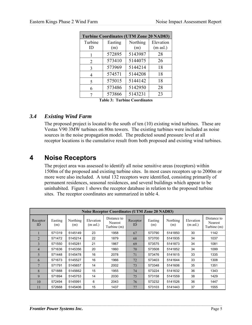| <b>Turbine Coordinates (UTM Zone 20 NAD83)</b> |         |          |                     |  |  |  |  |
|------------------------------------------------|---------|----------|---------------------|--|--|--|--|
| Turbine                                        | Easting | Northing | Elevation           |  |  |  |  |
| ID                                             | (m)     | (m)      | $(m \text{ as} l.)$ |  |  |  |  |
| 1                                              | 572895  | 5143987  | 28                  |  |  |  |  |
| 2                                              | 573410  | 5144075  | 26                  |  |  |  |  |
| 3                                              | 573969  | 5144214  | 18                  |  |  |  |  |
| 4                                              | 574571  | 5144208  | 18                  |  |  |  |  |
| 5                                              | 575015  | 5144142  | 18                  |  |  |  |  |
| 6                                              | 573486  | 5142950  | 28                  |  |  |  |  |
|                                                | 573866  | 5143231  | 23                  |  |  |  |  |

**Table 3: Turbine Coordinates** 

## *3.4 Existing Wind Farm*

The proposed project is located to the south of ten (10) existing wind turbines. These are Vestas V90 3MW turbines on 80m towers. The existing turbines were included as noise sources in the noise propagation model. The predicted sound pressure level at all receptor locations is the cumulative result from both proposed and existing wind turbines.

# **4 Noise Receptors**

The project area was assessed to identify all noise sensitive areas (receptors) within 1500m of the proposed and existing turbine sites. In most cases receptors up to 2000m or more were also included. A total 132 receptors were identified, consisting primarily of permanent residences, seasonal residences, and several buildings which appear to be uninhabited. Figure 1 shows the receptor database in relation to the proposed turbine sites. The receptor coordinates are summarized in table 4.

|                | <b>Noise Receptor Coordinates (UTM Zone 20 NAD83)</b> |                 |                                  |                                              |                |                |                 |                                  |                                              |
|----------------|-------------------------------------------------------|-----------------|----------------------------------|----------------------------------------------|----------------|----------------|-----------------|----------------------------------|----------------------------------------------|
| Receptor<br>ID | Easting<br>(m)                                        | Northing<br>(m) | Elevation<br>$(m \text{ as} l.)$ | Distance to<br><b>Nearest</b><br>Turbine (m) | Receptor<br>ID | Easting<br>(m) | Northing<br>(m) | Elevation<br>$(m \text{ as} l.)$ | Distance to<br><b>Nearest</b><br>Turbine (m) |
|                | 571319                                                | 5145149         | 23                               | 1958                                         | 67             | 573790         | 5141850         | 30                               | 1142                                         |
| $\overline{2}$ | 571472                                                | 5145214         | 22                               | 1879                                         | 68             | 573700         | 5141935         | 34                               | 1037                                         |
| 3              | 571550                                                | 5145281         | 21                               | 1867                                         | 69             | 573575         | 5141873         | 34                               | 1081                                         |
| $\overline{4}$ | 571636                                                | 5145356         | 20                               | 1860                                         | 70             | 573508         | 5141852         | 34                               | 1099                                         |
| 5              | 571448                                                | 5145478         | 16                               | 2078                                         | 71             | 573476         | 5141615         | 33                               | 1335                                         |
| 6              | 571673                                                | 5145527         | 16                               | 1966                                         | 72             | 573403         | 5141644         | 33                               | 1308                                         |
| 7              | 571791                                                | 5145657         | 14                               | 2002                                         | 73             | 573348         | 5141606         | 35                               | 1351                                         |
| 8              | 571888                                                | 5145662         | 15                               | 1955                                         | 74             | 573224         | 5141632         | 36                               | 1343                                         |
| 9              | 571894                                                | 5145753         | 14                               | 2030                                         | 75             | 573158         | 5141559         | 38                               | 1429                                         |
| 10             | 572494                                                | 5145991         | 6                                | 2043                                         | 76             | 573232         | 5141526         | 36                               | 1447                                         |
| 11             | 572668                                                | 5145406         | 15                               | 1437                                         | 77             | 573103         | 5141443         | 37                               | 1555                                         |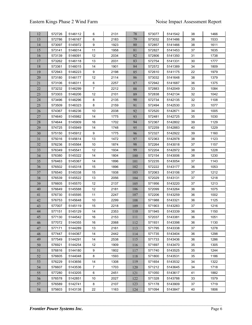| 12     | 572726 | 5146112 | 6              | 2131 | 78  | 573077 | 5141542 | 38 | 1466 |
|--------|--------|---------|----------------|------|-----|--------|---------|----|------|
| 13     | 572786 | 5146167 | 6              | 2183 | 79  | 573032 | 5141486 | 38 | 1533 |
| 14     | 573097 | 5145972 | 9              | 1923 | 80  | 572857 | 5141466 | 38 | 1611 |
| 15     | 573141 | 5146014 | 11             | 1958 | 81  | 572827 | 5141453 | 37 | 1635 |
| 16     | 573139 | 5146091 | 12             | 2034 | 82  | 572806 | 5141350 | 31 | 1738 |
| 17     | 573262 | 5146118 | 13             | 2031 | 83  | 572754 | 5141331 | 30 | 1777 |
| 18     | 573361 | 5146015 | 14             | 1901 | 84  | 572572 | 5141389 | 34 | 1809 |
| 19     | 572943 | 5146223 | 9              | 2198 | 85  | 572610 | 5141175 | 22 | 1979 |
| $20\,$ | 573180 | 5146177 | 12             | 2114 | 86  | 573032 | 5141648 | 38 | 1379 |
| 21     | 573106 | 5146311 | 6              | 2257 | 87  | 572942 | 5141687 | 36 | 1375 |
| 22     | 573232 | 5146299 | $\overline{7}$ | 2212 | 88  | 572883 | 5142049 | 33 | 1084 |
| 23     | 573303 | 5146206 | 12             | 2101 | 89  | 572838 | 5142134 | 32 | 1042 |
| 24     | 573496 | 5146296 | 8              | 2135 | 90  | 572734 | 5142135 | 32 | 1108 |
| 25     | 573509 | 5146323 | 8              | 2159 | 91  | 572494 | 5142530 | 33 | 1077 |
| 26     | 574367 | 5146236 | 10             | 2038 | 92  | 572520 | 5142671 | 34 | 1005 |
| 27     | 574640 | 5145982 | 14             | 1775 | 93  | 572481 | 5142725 | 35 | 1030 |
| 28     | 574644 | 5145909 | 16             | 1702 | 94  | 572367 | 5142802 | 39 | 1129 |
| 29     | 574725 | 5145949 | 14             | 1748 | 95  | 572259 | 5142883 | 40 | 1229 |
| 30     | 575150 | 5145912 | 9              | 1775 | 96  | 572327 | 5142922 | 39 | 1160 |
| 31     | 575016 | 5145614 | 13             | 1472 | 97  | 572363 | 5142978 | 38 | 1123 |
| 32     | 576236 | 5145564 | 10             | 1874 | 98  | 572264 | 5143018 | 37 | 1157 |
| 33     | 576349 | 5145541 | 12             | 1934 | 99  | 572204 | 5142972 | 38 | 1228 |
| 34     | 576380 | 5145322 | 14             | 1804 | 100 | 572154 | 5143006 | 38 | 1230 |
| 35     | 576463 | 5145367 | 14             | 1896 | 101 | 572235 | 5143054 | 37 | 1143 |
| 36     | 576502 | 5145318 | 15             | 1896 | 102 | 572222 | 5143177 | 36 | 1053 |
| 37     | 576540 | 5145338 | 15             | 1938 | 103 | 572063 | 5143106 | 37 | 1212 |
| 38     | 576539 | 5145522 | 13             | 2056 | 104 | 572029 | 5143131 | 37 | 1218 |
| 39     | 576605 | 5145570 | 12             | 2137 | 105 | 571956 | 5143220 | 37 | 1213 |
| 40     | 576649 | 5145588 | 12             | 2181 | 106 | 572099 | 5143264 | 36 | 1075 |
| 41     | 576730 | 5145595 | 11             | 2247 | 107 | 572206 | 5143259 | 36 | 1002 |
| 42     | 576753 | 5145648 | 10             | 2299 | 108 | 571988 | 5143321 | 36 | 1125 |
| 43     | 577007 | 5145119 | 15             | 2218 | 109 | 571903 | 5143283 | 37 | 1216 |
| 44     | 577151 | 5145129 | 14             | 2353 | 110 | 571945 | 5143339 | 36 | 1150 |
| 45     | 577130 | 5144542 | 16             | 2153 | 111 | 572037 | 5143381 | 36 | 1051 |
| 46     | 577072 | 5144355 | 16             | 2068 | 112 | 571931 | 5143398 | 36 | 1130 |
| 47     | 577171 | 5144289 | 13             | 2161 | 113 | 571795 | 5143338 | 37 | 1278 |
| 48     | 577447 | 5144367 | 14             | 2442 | 114 | 571735 | 5143404 | 36 | 1298 |
| 49     | 577549 | 5144291 | 14             | 2538 | 115 | 571733 | 5143436 | 36 | 1286 |
| 50     | 576921 | 5144254 | 12             | 1909 | 116 | 571697 | 5143470 | 35 | 1305 |
| 51     | 576816 | 5144180 | 9              | 1802 | 117 | 571740 | 5143525 | 35 | 1244 |
| 52     | 576605 | 5144048 | 8              | 1593 | 118 | 571800 | 5143531 | 35 | 1186 |
| 53     | 576229 | 5143656 | 14             | 1308 | 119 | 571654 | 5143532 | 34 | 1322 |
| 54     | 576607 | 5143536 | $\overline{7}$ | 1703 | 120 | 571212 | 5143645 | 34 | 1718 |
| 55     | 577280 | 5143205 | 6              | 2451 | 121 | 571050 | 5143617 | 41 | 1882 |
| 56     | 576578 | 5142851 | 10             | 2027 | 122 | 571328 | 5143788 | 33 | 1579 |
| 57     | 576589 | 5142741 | 8              | 2107 | 123 | 571178 | 5143909 | 37 | 1719 |
| 58     | 575603 | 5143138 | 22             | 1163 | 124 | 571094 | 5143847 | 40 | 1806 |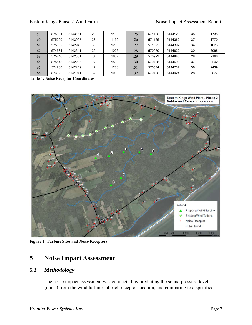| 59 | 575501 | 5143151 | 23 | 1103 | 125 | 571165 | 5144123 | 35 | 1735 |
|----|--------|---------|----|------|-----|--------|---------|----|------|
| 60 | 575200 | 5143007 | 28 | 1150 | 126 | 571165 | 5144362 | 37 | 1770 |
| 61 | 575062 | 5142943 | 30 | 1200 | 127 | 571322 | 5144397 | 34 | 1626 |
| 62 | 574681 | 5142641 | 29 | 1006 | 128 | 570970 | 5144822 | 30 | 2098 |
| 63 | 575246 | 5142361 | 6  | 1632 | 129 | 570923 | 5144883 | 28 | 2166 |
| 64 | 575148 | 5142285 | 5  | 1593 | 130 | 570768 | 5144695 | 37 | 2242 |
| 65 | 574700 | 5142249 | 17 | 1288 | 131 | 570574 | 5144737 | 36 | 2439 |
| 66 | 573822 | 5141941 | 32 | 1063 | 132 | 570495 | 5144924 | 28 | 2577 |

**Table 4: Noise Receptor Coordinates** 



**Figure 1: Turbine Sites and Noise Receptors** 

# **5 Noise Impact Assessment**

## *5.1 Methodology*

The noise impact assessment was conducted by predicting the sound pressure level (noise) from the wind turbines at each receptor location, and comparing to a specified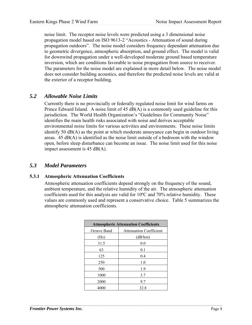noise limit. The receptor noise levels were predicted using a 3 dimensional noise propagation model based on ISO 9613-2 "Acoustics - Attenuation of sound during propagation outdoors". The noise model considers frequency dependant attenuation due to geometric divergence, atmospheric absorption, and ground effect. The model is valid for downwind propagation under a well-developed moderate ground based temperature inversion, which are conditions favorable to noise propagation from source to receiver. The parameters for the noise model are explained in more detail below. The noise model does not consider building acoustics, and therefore the predicted noise levels are valid at the exterior of a receptor building.

### *5.2 Allowable Noise Limits*

Currently there is no provincially or federally regulated noise limit for wind farms on Prince Edward Island. A noise limit of 45 dB(A) is a commonly used guideline for this jurisdiction. The World Health Organization's "Guidelines for Community Noise" identifies the main health risks associated with noise and derives acceptable environmental noise limits for various activities and environments. These noise limits identify 50  $dB(A)$  as the point at which moderate annoyance can begin in outdoor living areas.  $45 \text{ dB}(A)$  is identified as the noise limit outside of a bedroom with the window open, before sleep disturbance can become an issue. The noise limit used for this noise impact assessment is 45 dB(A).

### *5.3 Model Parameters*

#### **5.3.1 Atmospheric Attenuation Coefficients**

Atmospheric attenuation coefficients depend strongly on the frequency of the sound, ambient temperature, and the relative humidity of the air. The atmospheric attenuation coefficients used for this analysis are valid for  $10^{\circ}$ C and  $70\%$  relative humidity. These values are commonly used and represent a conservative choice. Table 5 summarizes the atmospheric attenuation coefficients.

| <b>Atmospheric Attenuation Coefficients</b> |                                |  |  |  |  |  |  |
|---------------------------------------------|--------------------------------|--|--|--|--|--|--|
| Octave Band                                 | <b>Attenuation Coefficient</b> |  |  |  |  |  |  |
| (Hz)                                        | (dB/km)                        |  |  |  |  |  |  |
| 31.5                                        | 0.0                            |  |  |  |  |  |  |
| 63                                          | 0.1                            |  |  |  |  |  |  |
| 125                                         | 0.4                            |  |  |  |  |  |  |
| 250                                         | 1.0                            |  |  |  |  |  |  |
| 500                                         | 1.9                            |  |  |  |  |  |  |
| 1000                                        | 3.7                            |  |  |  |  |  |  |
| 2000                                        | 9.7                            |  |  |  |  |  |  |
| 4000                                        | 32.8                           |  |  |  |  |  |  |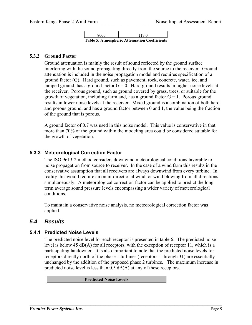

### **5.3.2 Ground Factor**

Ground attenuation is mainly the result of sound reflected by the ground surface interfering with the sound propagating directly from the source to the receiver. Ground attenuation is included in the noise propagation model and requires specification of a ground factor (G). Hard ground, such as pavement, rock, concrete, water, ice, and tamped ground, has a ground factor  $G = 0$ . Hard ground results in higher noise levels at the receiver. Porous ground, such as ground covered by grass, trees, or suitable for the growth of vegetation, including farmland, has a ground factor  $G = 1$ . Porous ground results in lower noise levels at the receiver. Mixed ground is a combination of both hard and porous ground, and has a ground factor between 0 and 1, the value being the fraction of the ground that is porous.

A ground factor of 0.7 was used in this noise model. This value is conservative in that more than 70% of the ground within the modeling area could be considered suitable for the growth of vegetation.

### **5.3.3 Meteorological Correction Factor**

The ISO 9613-2 method considers downwind meteorological conditions favorable to noise propagation from source to receiver. In the case of a wind farm this results in the conservative assumption that all receivers are always downwind from every turbine. In reality this would require an omni-directional wind, or wind blowing from all directions simultaneously. A meteorological correction factor can be applied to predict the long term average sound pressure levels encompassing a wider variety of meteorological conditions.

To maintain a conservative noise analysis, no meteorological correction factor was applied.

### *5.4 Results*

### **5.4.1 Predicted Noise Levels**

The predicted noise level for each receptor is presented in table 6. The predicted noise level is below 45 dB(A) for all receptors, with the exception of receptor 11, which is a participating landowner. It is also important to note that the predicted noise levels for receptors directly north of the phase 1 turbines (receptors 1 through 31) are essentially unchanged by the addition of the proposed phase 2 turbines. The maximum increase in predicted noise level is less than 0.5 dB(A) at any of these receptors.

 $\mathcal{L}_\mathcal{L} = \mathcal{L}_\mathcal{L} = \mathcal{L}_\mathcal{L} = \mathcal{L}_\mathcal{L} = \mathcal{L}_\mathcal{L} = \mathcal{L}_\mathcal{L} = \mathcal{L}_\mathcal{L} = \mathcal{L}_\mathcal{L} = \mathcal{L}_\mathcal{L} = \mathcal{L}_\mathcal{L} = \mathcal{L}_\mathcal{L} = \mathcal{L}_\mathcal{L} = \mathcal{L}_\mathcal{L} = \mathcal{L}_\mathcal{L} = \mathcal{L}_\mathcal{L} = \mathcal{L}_\mathcal{L} = \mathcal{L}_\mathcal{L}$ 

**Predicted Noise Levels**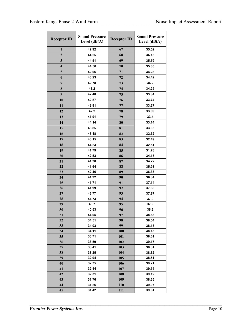| <b>Receptor ID</b> | <b>Sound Pressure</b><br>Level $(dB(A))$ | <b>Receptor ID</b> | <b>Sound Pressure</b><br>Level $(dB(A))$ |  |
|--------------------|------------------------------------------|--------------------|------------------------------------------|--|
| 1                  | 42.92                                    | 67                 | 35.52                                    |  |
| $\overline{2}$     | 44.25                                    | 68                 | 36.15                                    |  |
| 3                  | 44.51                                    | 69                 | 35.79                                    |  |
| 4                  | 44.56                                    | 70                 | 35.65                                    |  |
| 5                  | 42.06                                    | 71                 | 34.28                                    |  |
| 6                  | 43.23                                    | 72                 | 34.42                                    |  |
| $\overline{7}$     | 42.78                                    | 73                 | 34.2                                     |  |
| 8                  | 43.2                                     | 74                 | 34.25                                    |  |
| 9                  | 42.48                                    | 75                 | 33.84                                    |  |
| 10                 | 42.57                                    | 76                 | 33.74                                    |  |
| 11                 | 48.91                                    | 77                 | 33.27                                    |  |
| 12                 | 42.2                                     | 78                 | 33.69                                    |  |
| 13                 | 41.91                                    | 79                 | 33.4                                     |  |
| 14                 | 44.14                                    | 80                 | 33.14                                    |  |
| 15                 | 43.85                                    | 81                 | 33.05                                    |  |
|                    |                                          |                    |                                          |  |
| 16                 | 43.18                                    | 82                 | 32.62                                    |  |
| 17                 | 43.15                                    | 83                 | 32.49                                    |  |
| 18                 | 44.23                                    | 84                 | 32.51                                    |  |
| 19                 | 41.79                                    | 85                 | 31.78                                    |  |
| 20                 | 42.53                                    | 86                 | 34.15                                    |  |
| 21                 | 41.38                                    | 87                 | 34.22                                    |  |
| 22                 | 41.64                                    | 88                 | 35.98                                    |  |
| 23                 | 42.46                                    | 89                 | 36.33                                    |  |
| 24                 | 41.92                                    | 90                 | 36.04                                    |  |
| 25                 | 41.71                                    | 91                 | 37.14                                    |  |
| 26                 | 41.99                                    | 92                 | 37.88                                    |  |
| 27                 | 43.77                                    | 93                 | 37.97                                    |  |
| 28                 | 44.73                                    | 94                 | 37.9                                     |  |
| 29                 | 43.7                                     | 95                 | 37.9                                     |  |
| 30                 | 40.53                                    | 96                 | 38.3                                     |  |
| 31                 | 44.05                                    | 97                 | 38.68                                    |  |
| 32                 | 34.51                                    | 98                 | 38.54                                    |  |
| 33                 | 34.03                                    | 99                 | 38.13                                    |  |
| 34                 | 34.11                                    | 100                | 38.13                                    |  |
| 35                 | 33.71                                    | 101                | 38.61                                    |  |
| 36                 | 33.59                                    | 102                | 39.17                                    |  |
| 37                 | 33.41                                    | 103                | 38.31                                    |  |
| 38<br>39           | 33.25<br>32.94                           | 104<br>105         | 38.32                                    |  |
| 40                 | 32.75                                    |                    | 38.51<br>39.21                           |  |
| 41                 | 32.44                                    | 106<br>107         | 39.55                                    |  |
| 42                 | 32.31                                    | 108                | 39.12                                    |  |
| 43                 | 31.76                                    | 109                | 38.65                                    |  |
| 44                 | 31.26                                    | 110                | 39.07                                    |  |
| 45                 | 31.42                                    | <b>111</b>         | 39.61                                    |  |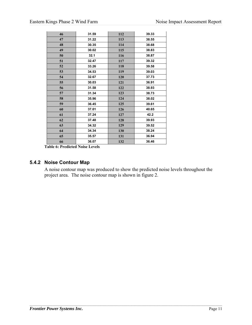| 46 | 31.59 | 112 | 39.33 |
|----|-------|-----|-------|
| 47 | 31.22 | 113 | 38.55 |
| 48 | 30.35 | 114 | 38.68 |
| 49 | 30.02 | 115 | 38.83 |
| 50 | 32.1  | 116 | 38.87 |
| 51 | 32.47 | 117 | 39.32 |
| 52 | 33.26 | 118 | 39.58 |
| 53 | 34.53 | 119 | 39.03 |
| 54 | 32.67 | 120 | 37.73 |
| 55 | 30.03 | 121 | 36.91 |
| 56 | 31.58 | 122 | 38.93 |
| 57 | 31.34 | 123 | 38.73 |
| 58 | 35.96 | 124 | 38.02 |
| 59 | 36.45 | 125 | 39.61 |
| 60 | 37.01 | 126 | 40.65 |
| 61 | 37.24 | 127 | 42.2  |
| 62 | 37.48 | 128 | 39.93 |
| 63 | 34.32 | 129 | 39.52 |
| 64 | 34.34 | 130 | 38.24 |
| 65 | 35.57 | 131 | 36.94 |
| 66 | 36.07 | 132 | 36.46 |

**Table 6: Predicted Noise Levels** 

## **5.4.2 Noise Contour Map**

A noise contour map was produced to show the predicted noise levels throughout the project area. The noise contour map is shown in figure 2.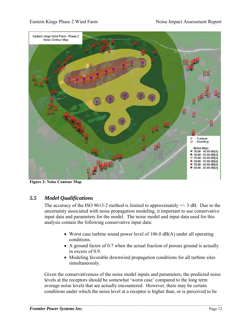

**Figure 2: Noise Contour Map** 

## *5.5 Model Qualifications*

The accuracy of the ISO 9613-2 method is limited to approximately  $+/- 3$  dB. Due to the uncertainty associated with noise propagation modeling, it important to use conservative input data and parameters for the model. The noise model and input data used for this analysis contain the following conservative input data:

- Worst case turbine sound power level of 106.0 dB(A) under all operating conditions.
- A ground factor of 0.7 when the actual fraction of porous ground is actually in excess of 0.9.
- Modeling favorable downwind propagation conditions for all turbine sites simultaneously.

Given the conservativeness of the noise model inputs and parameters, the predicted noise levels at the receptors should be somewhat 'worst case' compared to the long term average noise levels that are actually encountered. However, there may be certain conditions under which the noise level at a receptor is higher than, or is perceived to be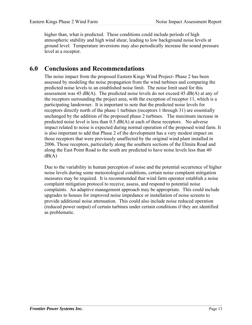higher than, what is predicted. These conditions could include periods of high atmospheric stability and high wind shear, leading to low background noise levels at ground level. Temperature inversions may also periodically increase the sound pressure level at a receptor.

# **6.0 Conclusions and Recommendations**

The noise impact from the proposed Eastern Kings Wind Project- Phase 2 has been assessed by modeling the noise propagation from the wind turbines and comparing the predicted noise levels to an established noise limit. The noise limit used for this assessment was 45 dB(A). The predicted noise levels do not exceed 45 dB(A) at any of the receptors surrounding the project area, with the exception of receptor 11, which is a participating landowner. It is important to note that the predicted noise levels for receptors directly north of the phase 1 turbines (receptors 1 through 31) are essentially unchanged by the addition of the proposed phase 2 turbines. The maximum increase in predicted noise level is less than  $0.5$  dB(A) at each of these receptors. No adverse impact related to noise is expected during normal operation of the proposed wind farm. It is also important to add that Phase 2 of the development has a very modest impact on those receptors that were previously unaffected by the original wind plant installed in 2006. Those receptors, particularly along the southern sections of the Elmira Road and along the East Point Road to the south are predicted to have noise levels less than 40  $dB(A)$ 

Due to the variability in human perception of noise and the potential occurrence of higher noise levels during some meteorological conditions, certain noise complaint mitigation measures may be required. It is recommended that wind farm operator establish a noise complaint mitigation protocol to receive, assess, and respond to potential noise complaints. An adaptive management approach may be appropriate. This could include upgrades to houses for improved noise impedance or installation of noise screens to provide additional noise attenuation. This could also include noise reduced operation (reduced power output) of certain turbines under certain conditions if they are identified as problematic.